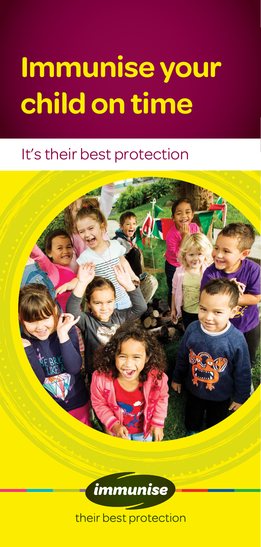# **Immunise your child on time**

### It's their best protection

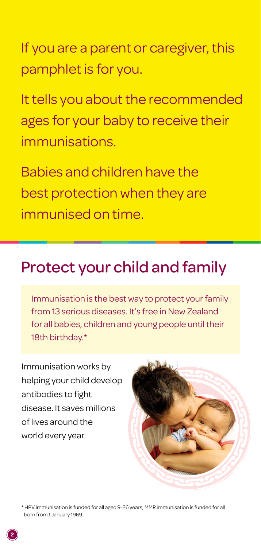If you are a parent or caregiver, this pamphlet is for you.

It tells you about the recommended ages for your baby to receive their immunisations.

Babies and children have the best protection when they are immunised on time.

### Protect your child and family

Immunisation is the best way to protect your family from 13 serious diseases. It's free in New Zealand for all babies, children and young people until their 18th birthday.\*

Immunisation works by helping your child develop antibodies to fight disease. It saves millions of lives around the world every year.



\* HPV immunisation is funded for all aged 9-26 years; MMR immunisation is funded for all born from 1 January 1969.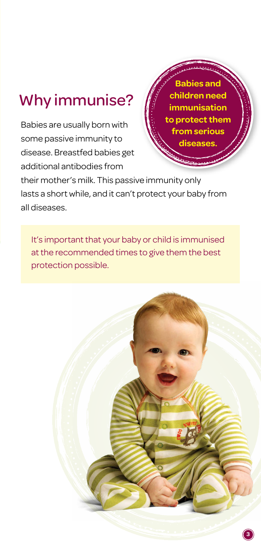# Why immunise?

Babies are usually born with some passive immunity to disease. Breastfed babies get additional antibodies from

**Babies and children need immunisation to protect them from serious diseases.** 

their mother's milk. This passive immunity only lasts a short while, and it can't protect your baby from all diseases.

It's important that your baby or child is immunised at the recommended times to give them the best protection possible.

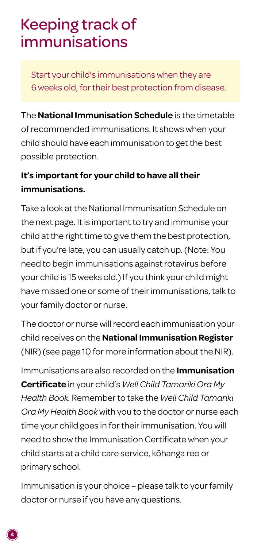# Keeping track of immunisations

Start your child's immunisations when they are 6 weeks old, for their best protection from disease.

The **National Immunisation Schedule** is the timetable of recommended immunisations. It shows when your child should have each immunisation to get the best possible protection.

#### **It's important for your child to have all their immunisations.**

Take a look at the National Immunisation Schedule on the next page. It is important to try and immunise your child at the right time to give them the best protection, but if you're late, you can usually catch up. (Note: You need to begin immunisations against rotavirus before your child is 15 weeks old.) If you think your child might have missed one or some of their immunisations, talk to your family doctor or nurse.

The doctor or nurse will record each immunisation your child receives on the **National Immunisation Register** (NIR) (see page 10 for more information about the NIR).

Immunisations are also recorded on the **Immunisation Certificate** in your child's *Well Child Tamariki Ora My Health Book.* Remember to take the *Well Child Tamariki Ora My Health Book* with you to the doctor or nurse each time your child goes in for their immunisation. You will need to show the Immunisation Certificate when your child starts at a child care service, kōhanga reo or primary school.

Immunisation is your choice – please talk to your family doctor or nurse if you have any questions.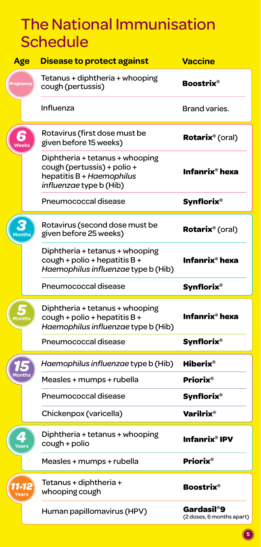# The National Immunisation **Schedule**

| Age          | Disease to protect against                                                                                                    | <b>Vaccine</b>                          |
|--------------|-------------------------------------------------------------------------------------------------------------------------------|-----------------------------------------|
|              | Tetanus + diphtheria + whooping<br>cough (pertussis)                                                                          | <b>Boostrix</b> ®                       |
|              | Influenza                                                                                                                     | Brand varies.                           |
| <b>Neeks</b> | Rotavirus (first dose must be<br>given before 15 weeks)                                                                       | Rotarix <sup>®</sup> (oral)             |
|              | Diphtheria + tetanus + whooping<br>cough (pertussis) + polio +<br>hepatitis B + Haemophilus<br><i>influenzae</i> type b (Hib) | Infanrix® hexa                          |
|              | Pneumococcal disease                                                                                                          | <b>Synflorix®</b>                       |
| <b>Ionth</b> | Rotavirus (second dose must be<br>given before 25 weeks)                                                                      | Rotarix <sup>®</sup> (oral)             |
|              | Diphtheria + tetanus + whooping<br>cough + polio + hepatitis $B +$<br>Haemophilus influenzae type b (Hib)                     | Infanrix® hexa                          |
|              | Pneumococcal disease                                                                                                          | Synflorix®                              |
| lonth        | Diphtheria + tetanus + whooping<br>$c$ ough + polio + hepatitis B +<br>Haemophilus influenzae type b (Hib)                    | Infanrix® hexa                          |
|              | Pneumococcal disease                                                                                                          | <b>Synflorix®</b>                       |
|              | Haemophilus influenzae type b (Hib)                                                                                           | Hiberix $^\circ$                        |
|              | Measles + mumps + rubella                                                                                                     | Priorix®                                |
|              | Pneumococcal disease                                                                                                          | <b>Synflorix®</b>                       |
|              | Chickenpox (varicella)                                                                                                        | Varilrix®                               |
| z<br>Year:   | Diphtheria + tetanus + whooping<br>cough + polio                                                                              | Infanrix® IPV                           |
|              | Measles + mumps + rubella                                                                                                     | <b>Priorix®</b>                         |
|              | Tetanus + diphtheria +<br>whooping cough                                                                                      | <b>Boostrix®</b>                        |
|              | Human papillomavirus (HPV)                                                                                                    | Gardasil®9<br>(2 doses, 6 months apart) |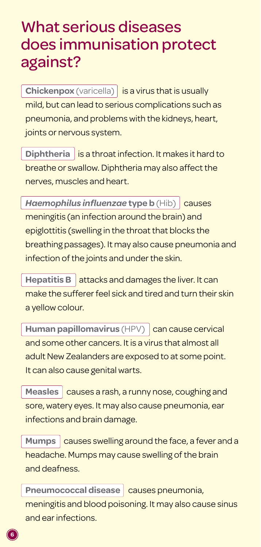### What serious diseases does immunisation protect against?

**Chickenpox** (varicella) is a virus that is usually mild, but can lead to serious complications such as pneumonia, and problems with the kidneys, heart, joints or nervous system.

**Diphtheria** is a throat infection. It makes it hard to breathe or swallow. Diphtheria may also affect the nerves, muscles and heart.

**Haemophilus influenzae type b** (Hib) causes meningitis (an infection around the brain) and epiglottitis (swelling in the throat that blocks the breathing passages). It may also cause pneumonia and infection of the joints and under the skin.

**Hepatitis B**  $\vert$  attacks and damages the liver. It can make the sufferer feel sick and tired and turn their skin a yellow colour.

**Human papillomavirus** (HPV) can cause cervical and some other cancers. It is a virus that almost all adult New Zealanders are exposed to at some point. It can also cause genital warts.

Measles **causes a rash, a runny nose, coughing and** sore, watery eyes. It may also cause pneumonia, ear infections and brain damage.

Mumps **causes swelling around the face, a fever and a** headache. Mumps may cause swelling of the brain and deafness.

**Pneumococcal disease** causes pneumonia, meningitis and blood poisoning. It may also cause sinus and ear infections.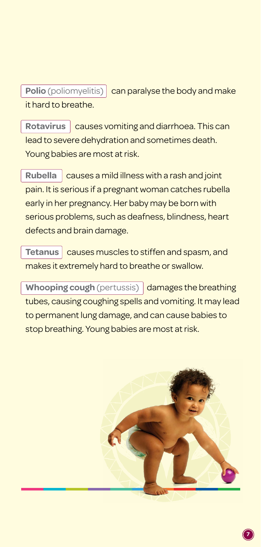**Polio** (poliomyelitis) can paralyse the body and make it hard to breathe.

**Rotavirus causes vomiting and diarrhoea. This can** lead to severe dehydration and sometimes death. Young babies are most at risk.

**Rubella** causes a mild illness with a rash and joint pain. It is serious if a pregnant woman catches rubella early in her pregnancy. Her baby may be born with serious problems, such as deafness, blindness, heart defects and brain damage.

**Tetanus** causes muscles to stiffen and spasm, and makes it extremely hard to breathe or swallow.

**Whooping cough** (pertussis) damages the breathing tubes, causing coughing spells and vomiting. It may lead to permanent lung damage, and can cause babies to stop breathing. Young babies are most at risk.

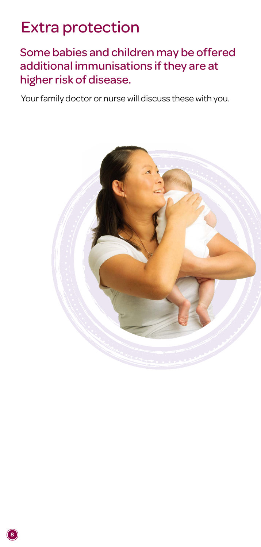# Extra protection

Some babies and children may be offered additional immunisations if they are at higher risk of disease.

Your family doctor or nurse will discuss these with you.

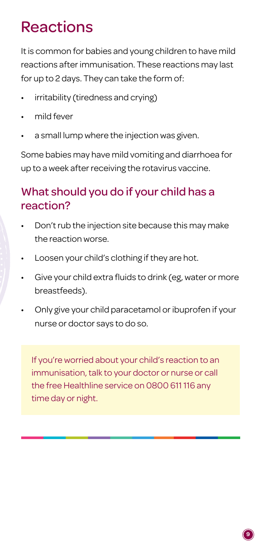# Reactions

It is common for babies and young children to have mild reactions after immunisation. These reactions may last for up to 2 days. They can take the form of:

- irritability (tiredness and crying)
- mild fever
- a small lump where the injection was given.

Some babies may have mild vomiting and diarrhoea for up to a week after receiving the rotavirus vaccine.

### What should you do if your child has a reaction?

- Don't rub the injection site because this may make the reaction worse.
- Loosen your child's clothing if they are hot.
- Give your child extra fluids to drink (eg, water or more breastfeeds).
- Only give your child paracetamol or ibuprofen if your nurse or doctor says to do so.

If you're worried about your child's reaction to an immunisation, talk to your doctor or nurse or call the free Healthline service on 0800 611 116 any time day or night.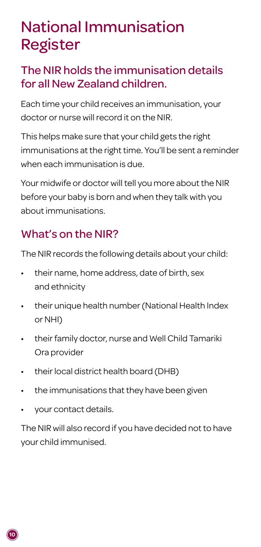# National Immunisation Register

### The NIR holds the immunisation details for all New Zealand children.

Each time your child receives an immunisation, your doctor or nurse will record it on the NIR.

This helps make sure that your child gets the right immunisations at the right time. You'll be sent a reminder when each immunisation is due.

Your midwife or doctor will tell you more about the NIR before your baby is born and when they talk with you about immunisations.

### What's on the NIR?

The NIR records the following details about your child:

- their name, home address, date of birth, sex and ethnicity
- their unique health number (National Health Index or NHI)
- their family doctor, nurse and Well Child Tamariki Ora provider
- their local district health board (DHB)
- the immunisations that they have been given
- your contact details.

The NIR will also record if you have decided not to have your child immunised.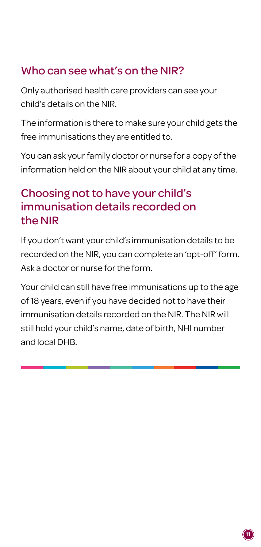### Who can see what's on the NIR?

Only authorised health care providers can see your child's details on the NIR.

The information is there to make sure your child gets the free immunisations they are entitled to.

You can ask your family doctor or nurse for a copy of the information held on the NIR about your child at any time.

### Choosing not to have your child's immunisation details recorded on the NIR

If you don't want your child's immunisation details to be recorded on the NIR, you can complete an 'opt-off' form. Ask a doctor or nurse for the form.

Your child can still have free immunisations up to the age of 18 years, even if you have decided not to have their immunisation details recorded on the NIR. The NIR will still hold your child's name, date of birth, NHI number and local DHB.